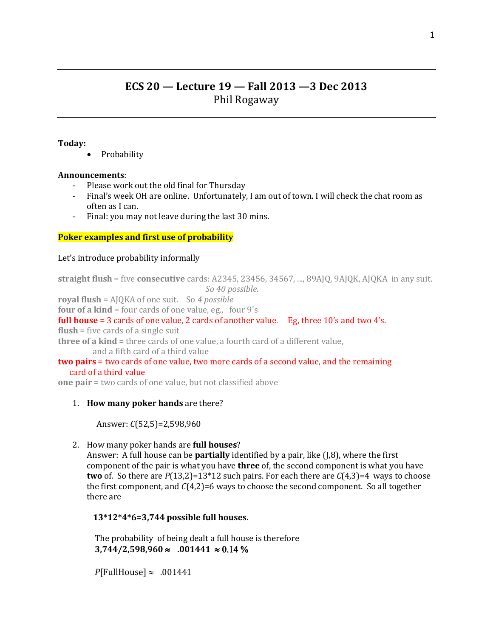# **ECS 20 — Lecture 19 — Fall 2013 —3 Dec 2013** Phil Rogaway

#### **Today:**

Probability

## **Announcements**:

- Please work out the old final for Thursday
- Final's week OH are online. Unfortunately, I am out of town. I will check the chat room as often as I can.
- Final: you may not leave during the last 30 mins.

## **Poker examples and first use of probability**

#### Let's introduce probability informally

```
straight flush = five consecutive cards: A2345, 23456, 34567, ..., 89AJQ, 9AJQK, AJQKA in any suit. 
                           So 40 possible.
```
**royal flush** = AJQKA of one suit. So *4 possible*

**four of a kind** = four cards of one value, eg., four 9's

## **full house** = 3 cards of one value, 2 cards of another value. Eg, three 10's and two 4's.

**flush** = five cards of a single suit

**three of a kind** = three cards of one value, a fourth card of a different value, and a fifth card of a third value

## **two pairs** = two cards of one value, two more cards of a second value, and the remaining card of a third value

**one pair** = two cards of one value, but not classified above

## 1. **How many poker hands** are there?

Answer: *C*(52,5)=2,598,960

2. How many poker hands are **full houses**?

Answer: A full house can be **partially** identified by a pair, like (J,8), where the first component of the pair is what you have **three** of, the second component is what you have **two** of. So there are  $P(13,2)=13*12$  such pairs. For each there are  $C(4,3)=4$  ways to choose the first component, and  $C(4,2)=6$  ways to choose the second component. So all together there are

## **13\*12\*4\*6=3,744 possible full houses.**

The probability of being dealt a full house is therefore **3,744/2,598,960 .001441** 

 $P$ [FullHouse]  $\approx 0.01441$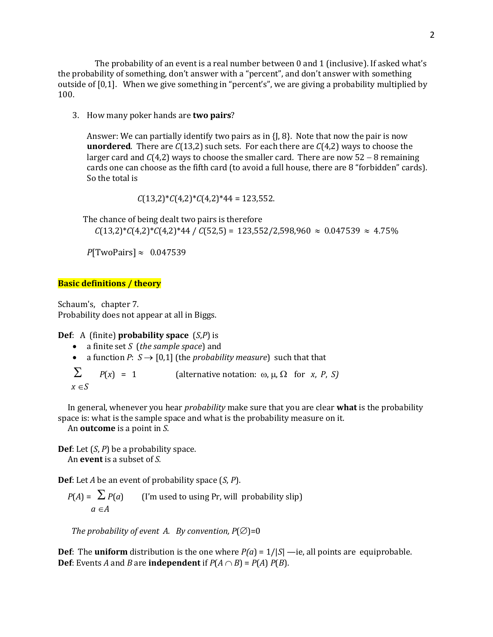The probability of an event is a real number between 0 and 1 (inclusive). If asked what's the probability of something, don't answer with a "percent", and don't answer with something outside of [0,1]. When we give something in "percent's", we are giving a probability multiplied by 100.

3. How many poker hands are **two pairs**?

Answer: We can partially identify two pairs as in  $\{J, \mathcal{B}\}\$ . Note that now the pair is now **unordered**. There are *C*(13,2) such sets. For each there are *C*(4,2) ways to choose the larger card and  $C(4,2)$  ways to choose the smaller card. There are now  $52 - 8$  remaining cards one can choose as the fifth card (to avoid a full house, there are 8 "forbidden" cards). So the total is

*C*(13,2)\**C*(4,2)\**C*(4,2)\*44 = 123,552.

The chance of being dealt two pairs is therefore

 $C(13,2)*C(4,2)*C(4,2)*44 / C(52,5) = 123,552/2,598,960 \approx 0.047539 \approx 4.75\%$ 

 $P$ [TwoPairs]  $\approx 0.047539$ 

## **Basic definitions / theory**

Schaum's, chapter 7. Probability does not appear at all in Biggs.

#### **Def**: A (finite) **probability space** (*S*,*P*) is

- a finite set *S* (*the sample space*) and
- a function *P*:  $S \rightarrow [0,1]$  (the *probability measure*) such that that

 $\sum$  *P(x)* = 1 (alternative notation:  $\omega$ ,  $\mu$ ,  $\Omega$  for *x*, *P*, *S)*  $x \in S$ 

 In general, whenever you hear *probability* make sure that you are clear **what** is the probability space is: what is the sample space and what is the probability measure on it.

An **outcome** is a point in *S*.

**Def**: Let (*S*, *P*) be a probability space. An **event** is a subset of *S.*

**Def**: Let *A* be an event of probability space (*S*, *P*).

 $P(A) = \sum P(a)$  (I'm used to using Pr, will probability slip)  $a \in A$ 

*The probability of event A. By convention,*  $P(\emptyset) = 0$ 

**Def**: The **uniform** distribution is the one where  $P(a) = 1/|S|$  —ie, all points are equiprobable. **Def**: Events *A* and *B* are **independent** if  $P(A \cap B) = P(A) P(B)$ .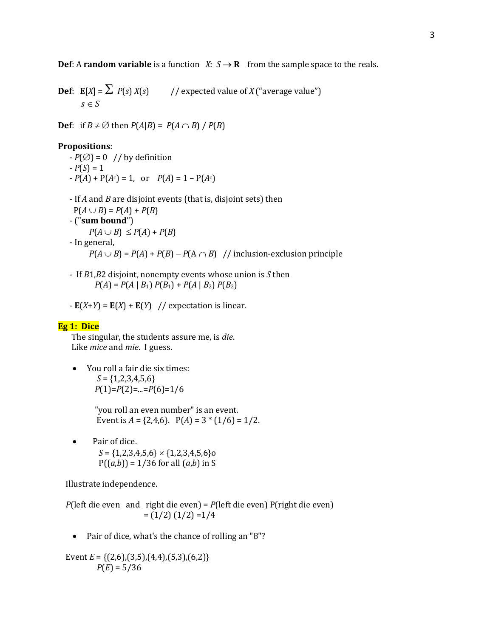**Def**: A **random variable** is a function *X*:  $S \rightarrow \mathbf{R}$  from the sample space to the reals.

**Def**:  $\mathbf{E}[X] = \sum P(s) X(s)$  // expected value of *X* ("average value")  $s \in S$ 

**Def**: if  $B \neq \emptyset$  then  $P(A|B) = P(A \cap B) / P(B)$ 

#### **Propositions**:

- $-P(\emptyset) = 0$  // by definition
- $-P(S) = 1$
- $-P(A) + P(A^c) = 1$ , or  $P(A) = 1 P(A^c)$

 - If *A* and *B* are disjoint events (that is, disjoint sets) then  $P(A \cup B) = P(A) + P(B)$  - ("**sum bound**")  $P(A \cup B) \leq P(A) + P(B)$  - In general,  $P(A \cup B) = P(A) + P(B) - P(A \cap B)$  // inclusion-exclusion principle

 - If *B*1,*B*2 disjoint, nonempty events whose union is *S* then  $P(A) = P(A | B_1) P(B_1) + P(A | B_2) P(B_2)$ 

 $-$  **E**(*X*+*Y*) = **E**(*X*) + **E**(*Y*) // expectation is linear.

## **Eg 1: Dice**

 The singular, the students assure me, is *die*. Like *mice* and *mie*. I guess.

 You roll a fair die six times: *S* = {1,2,3,4,5,6} *P*(1)=*P*(2)=...=*P*(6)=1/6

> "you roll an even number" is an event. Event is  $A = \{2, 4, 6\}$ .  $P(A) = 3 * (1/6) = 1/2$ .

• Pair of dice.  $S = \{1,2,3,4,5,6\} \times \{1,2,3,4,5,6\}$ o  $P((a,b)) = 1/36$  for all  $(a,b)$  in S

Illustrate independence.

 *P*(left die even and right die even) = *P*(left die even) P(right die even)  $=(1/2) (1/2) = 1/4$ 

Pair of dice, what's the chance of rolling an "8"?

 Event *E* = {(2,6),(3,5),(4,4),(5,3),(6,2)}  $P(E) = 5/36$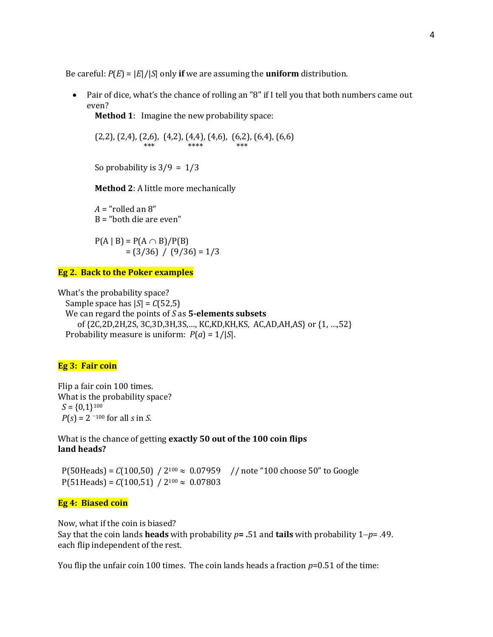Be careful:  $P(E) = |E|/|S|$  only **if** we are assuming the **uniform** distribution.

 Pair of dice, what's the chance of rolling an "8" if I tell you that both numbers came out even?

**Method 1**: Imagine the new probability space:

 $(2,2)$ ,  $(2,4)$ ,  $(2,6)$ ,  $(4,2)$ ,  $(4,4)$ ,  $(4,6)$ ,  $(6,2)$ ,  $(6,4)$ ,  $(6,6)$ \*\*\* \*\*\*\* \*\*\*\* \*\*\*

So probability is  $3/9 = 1/3$ 

**Method 2**: A little more mechanically

 $A =$ "rolled an  $8$ " B = "both die are even"

 $P(A | B) = P(A \cap B)/P(B)$  $=(3/36) / (9/36) = 1/3$ 

#### **Eg 2. Back to the Poker examples**

What's the probability space? Sample space has  $|S| = C(52,5)$  We can regard the points of *S* as **5-elements subsets** of {2C,2D,2H,2S, 3C,3D,3H,3S,…, KC,KD,KH,KS, AC,AD,AH,AS} or {1, …,52} Probability measure is uniform: *P*(*a*) = 1/|*S*|.

## **Eg 3: Fair coin**

Flip a fair coin 100 times. What is the probability space?  $S = \{0,1\}^{100}$  $P(s) = 2^{-100}$  for all *s* in *S*.

What is the chance of getting **exactly 50 out of the 100 coin flips land heads?**

 $P(50Heads) = C(100,50) / 2^{100} \approx 0.07959$  // note "100 choose 50" to Google  $P(51 \text{Heads}) = C(100,51) / 2^{100} \approx 0.07803$ 

#### **Eg 4: Biased coin**

Now, what if the coin is biased?

Say that the coin lands **heads** with probability *p***= .**51 and **tails** with probability 1*p*= .49. each flip independent of the rest.

You flip the unfair coin 100 times. The coin lands heads a fraction *p*=0.51 of the time: